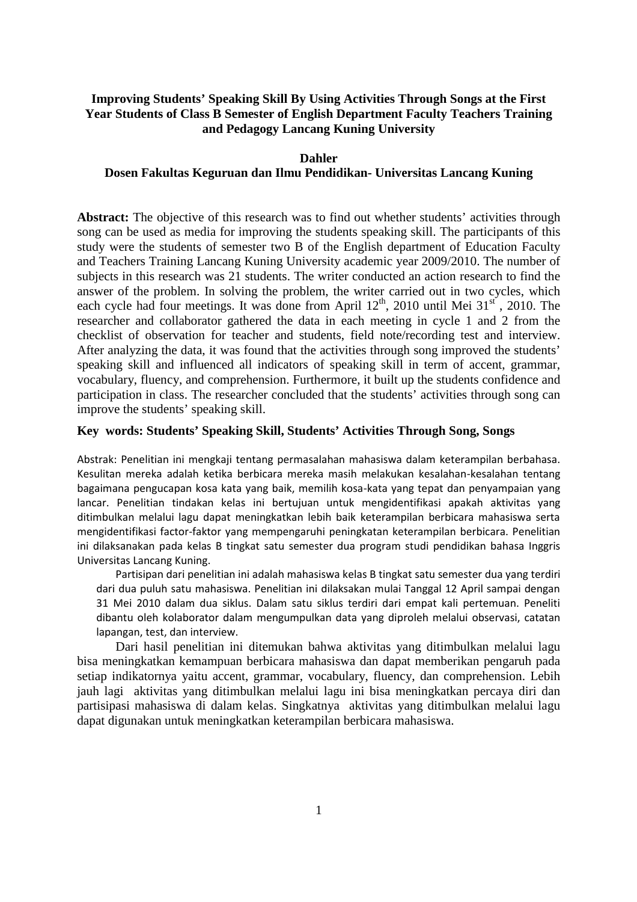# **Improving Students' Speaking Skill By Using Activities Through Songs at the First Year Students of Class B Semester of English Department Faculty Teachers Training and Pedagogy Lancang Kuning University**

#### **Dahler**

# **Dosen Fakultas Keguruan dan Ilmu Pendidikan- Universitas Lancang Kuning**

Abstract: The objective of this research was to find out whether students' activities through song can be used as media for improving the students speaking skill. The participants of this study were the students of semester two B of the English department of Education Faculty and Teachers Training Lancang Kuning University academic year 2009/2010. The number of subjects in this research was 21 students. The writer conducted an action research to find the answer of the problem. In solving the problem, the writer carried out in two cycles, which each cycle had four meetings. It was done from April  $12^{th}$ , 2010 until Mei  $31^{st}$ , 2010. The researcher and collaborator gathered the data in each meeting in cycle 1 and 2 from the checklist of observation for teacher and students, field note/recording test and interview. After analyzing the data, it was found that the activities through song improved the students' speaking skill and influenced all indicators of speaking skill in term of accent, grammar, vocabulary, fluency, and comprehension. Furthermore, it built up the students confidence and participation in class. The researcher concluded that the students' activities through song can improve the students' speaking skill.

### **Key words: Students' Speaking Skill, Students' Activities Through Song, Songs**

Abstrak: Penelitian ini mengkaji tentang permasalahan mahasiswa dalam keterampilan berbahasa. Kesulitan mereka adalah ketika berbicara mereka masih melakukan kesalahan-kesalahan tentang bagaimana pengucapan kosa kata yang baik, memilih kosa-kata yang tepat dan penyampaian yang lancar. Penelitian tindakan kelas ini bertujuan untuk mengidentifikasi apakah aktivitas yang ditimbulkan melalui lagu dapat meningkatkan lebih baik keterampilan berbicara mahasiswa serta mengidentifikasi factor-faktor yang mempengaruhi peningkatan keterampilan berbicara. Penelitian ini dilaksanakan pada kelas B tingkat satu semester dua program studi pendidikan bahasa Inggris Universitas Lancang Kuning.

Partisipan dari penelitian ini adalah mahasiswa kelas B tingkat satu semester dua yang terdiri dari dua puluh satu mahasiswa. Penelitian ini dilaksakan mulai Tanggal 12 April sampai dengan 31 Mei 2010 dalam dua siklus. Dalam satu siklus terdiri dari empat kali pertemuan. Peneliti dibantu oleh kolaborator dalam mengumpulkan data yang diproleh melalui observasi, catatan lapangan, test, dan interview.

Dari hasil penelitian ini ditemukan bahwa aktivitas yang ditimbulkan melalui lagu bisa meningkatkan kemampuan berbicara mahasiswa dan dapat memberikan pengaruh pada setiap indikatornya yaitu accent, grammar, vocabulary, fluency, dan comprehension. Lebih jauh lagi aktivitas yang ditimbulkan melalui lagu ini bisa meningkatkan percaya diri dan partisipasi mahasiswa di dalam kelas. Singkatnya aktivitas yang ditimbulkan melalui lagu dapat digunakan untuk meningkatkan keterampilan berbicara mahasiswa.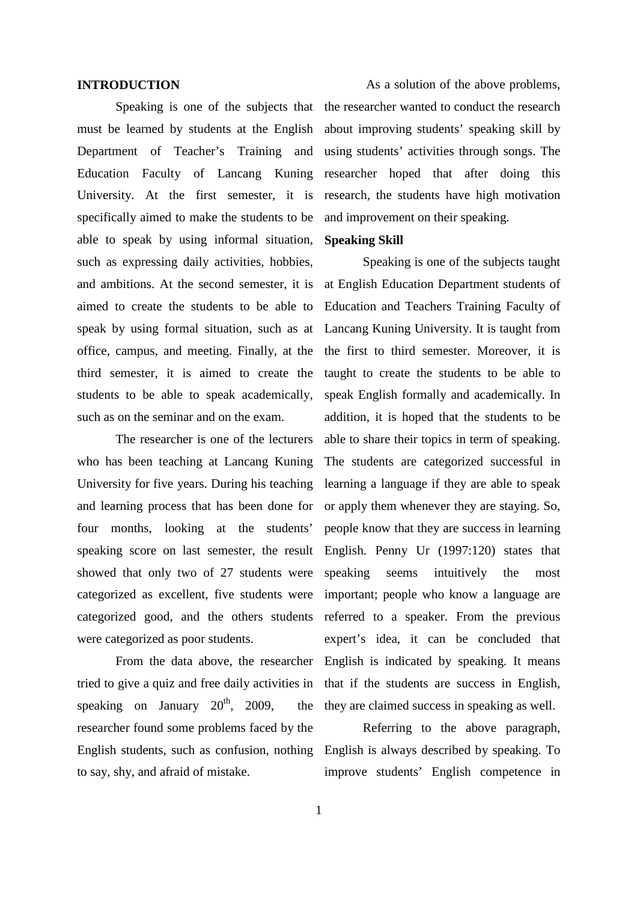#### **INTRODUCTION**

Speaking is one of the subjects that must be learned by students at the English Department of Teacher's Training and Education Faculty of Lancang Kuning University. At the first semester, it is specifically aimed to make the students to be able to speak by using informal situation, such as expressing daily activities, hobbies, and ambitions. At the second semester, it is aimed to create the students to be able to speak by using formal situation, such as at office, campus, and meeting. Finally, at the third semester, it is aimed to create the students to be able to speak academically, such as on the seminar and on the exam.

The researcher is one of the lecturers who has been teaching at Lancang Kuning University for five years. During his teaching and learning process that has been done for four months, looking at the students' speaking score on last semester, the result showed that only two of 27 students were categorized as excellent, five students were categorized good, and the others students were categorized as poor students.

From the data above, the researcher tried to give a quiz and free daily activities in speaking on January  $20^{th}$ ,  $2009$ , the th researcher found some problems faced by the English students, such as confusion, nothing to say, shy, and afraid of mistake.

As a solution of the above problems, the researcher wanted to conduct the research about improving students' speaking skill by using students' activities through songs. The researcher hoped that after doing this research, the students have high motivation and improvement on their speaking.

# **Speaking Skill**

Speaking is one of the subjects taught at English Education Department students of Education and Teachers Training Faculty of Lancang Kuning University. It is taught from the first to third semester. Moreover, it is taught to create the students to be able to speak English formally and academically. In addition, it is hoped that the students to be able to share their topics in term of speaking. The students are categorized successful in learning a language if they are able to speak or apply them whenever they are staying. So, people know that they are success in learning English. Penny Ur (1997:120) states that speaking seems intuitively the most important; people who know a language are referred to a speaker. From the previous expert's idea, it can be concluded that English is indicated by speaking. It means that if the students are success in English, they are claimed success in speaking as well.

Referring to the above paragraph, English is always described by speaking. To improve students' English competence in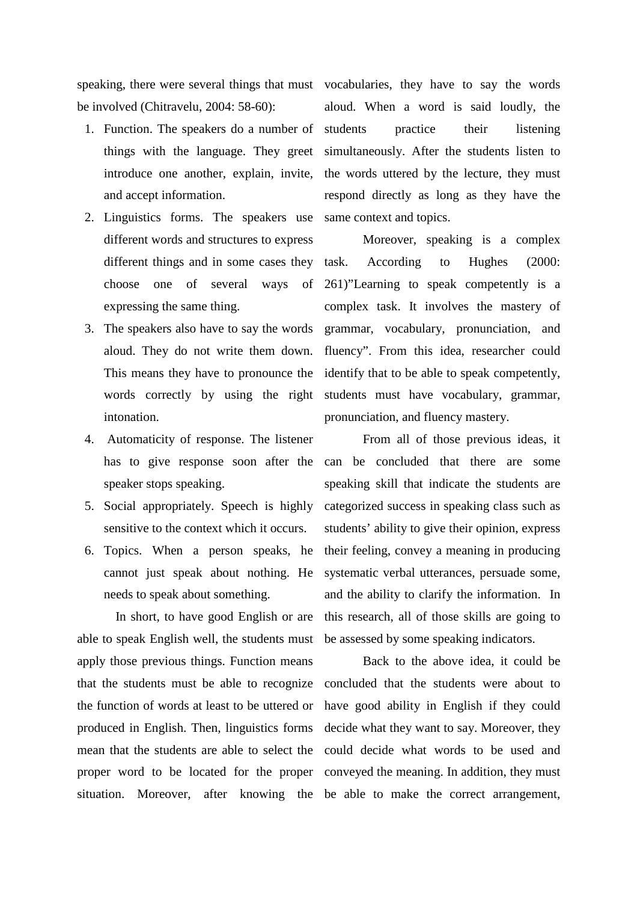be involved (Chitravelu, 2004: 58-60):

- 1. Function. The speakers do a number of things with the language. They greet introduce one another, explain, invite, and accept information.
- 2. Linguistics forms. The speakers use different words and structures to express different things and in some cases they task. choose one of several ways of expressing the same thing.
- 3. The speakers also have to say the words aloud. They do not write them down. This means they have to pronounce the words correctly by using the right intonation.
- 4. Automaticity of response. The listener has to give response soon after the speaker stops speaking.
- 5. Social appropriately. Speech is highly sensitive to the context which it occurs.
- 6. Topics. When a person speaks, he cannot just speak about nothing. He needs to speak about something.

In short, to have good English or are able to speak English well, the students must apply those previous things. Function means that the students must be able to recognize the function of words at least to be uttered or produced in English. Then, linguistics forms mean that the students are able to select the proper word to be located for the proper

speaking, there were several things that must vocabularies, they have to say the words aloud. When a word is said loudly, the practice their listening simultaneously. After the students listen to the words uttered by the lecture, they must respond directly as long as they have the same context and topics.

> Moreover, speaking is a complex According to Hughes (2000: 261)"Learning to speak competently is a complex task. It involves the mastery of grammar, vocabulary, pronunciation, and fluency". From this idea, researcher could identify that to be able to speak competently, students must have vocabulary, grammar, pronunciation, and fluency mastery.

> From all of those previous ideas, it can be concluded that there are some speaking skill that indicate the students are categorized success in speaking class such as students' ability to give their opinion, express their feeling, convey a meaning in producing systematic verbal utterances, persuade some, and the ability to clarify the information. In this research, all of those skills are going to be assessed by some speaking indicators.

situation. Moreover, after knowing the be able to make the correct arrangement,Back to the above idea, it could be concluded that the students were about to have good ability in English if they could decide what they want to say. Moreover, they could decide what words to be used and conveyed the meaning. In addition, they must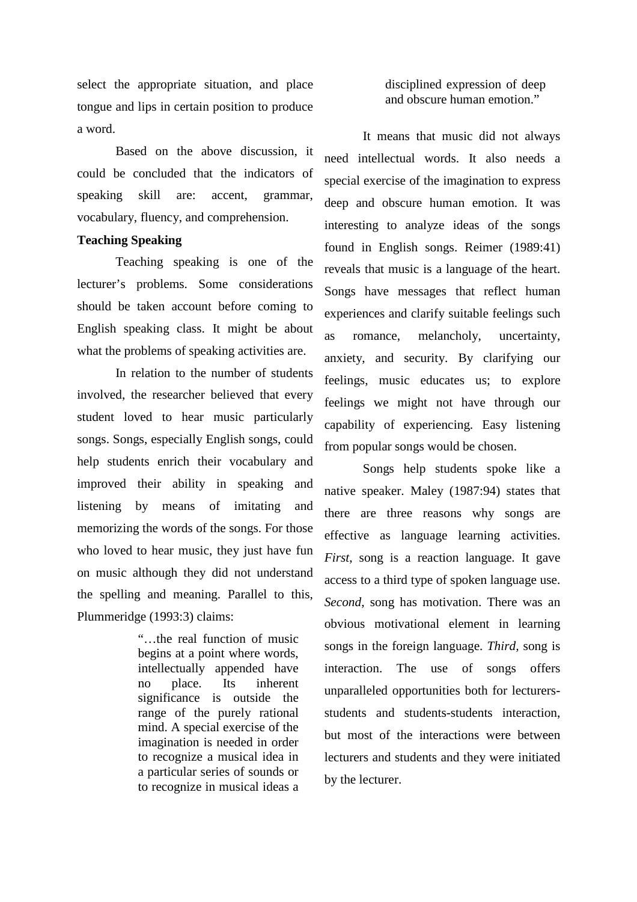select the appropriate situation, and place tongue and lips in certain position to produce a word.

Based on the above discussion, it could be concluded that the indicators of speaking skill are: accent, grammar, vocabulary, fluency, and comprehension.

## **Teaching Speaking**

Teaching speaking is one of the lecturer's problems. Some considerations should be taken account before coming to English speaking class. It might be about what the problems of speaking activities are.

In relation to the number of students involved, the researcher believed that every student loved to hear music particularly songs. Songs, especially English songs, could help students enrich their vocabulary and improved their ability in speaking and listening by means of imitating and memorizing the words of the songs. For those who loved to hear music, they just have fun on music although they did not understand the spelling and meaning. Parallel to this, Plummeridge (1993:3) claims:

> "…the real function of music begins at a point where words, intellectually appended have no place. Its inherent significance is outside the range of the purely rational mind. A special exercise of the imagination is needed in order to recognize a musical idea in a particular series of sounds or to recognize in musical ideas a

disciplined expression of deep and obscure human emotion."

It means that music did not always need intellectual words. It also needs a special exercise of the imagination to express deep and obscure human emotion. It was interesting to analyze ideas of the songs found in English songs. Reimer (1989:41) reveals that music is a language of the heart. Songs have messages that reflect human experiences and clarify suitable feelings such as romance, melancholy, uncertainty, anxiety, and security. By clarifying our feelings, music educates us; to explore feelings we might not have through our capability of experiencing. Easy listening from popular songs would be chosen.

Songs help students spoke like a native speaker. Maley (1987:94) states that there are three reasons why songs are effective as language learning activities. *First*, song is a reaction language. It gave access to a third type of spoken language use. *Second*, song has motivation. There was an obvious motivational element in learning songs in the foreign language. *Third,* song is interaction. The use of songs offers unparalleled opportunities both for lecturersstudents and students-students interaction, but most of the interactions were between lecturers and students and they were initiated by the lecturer.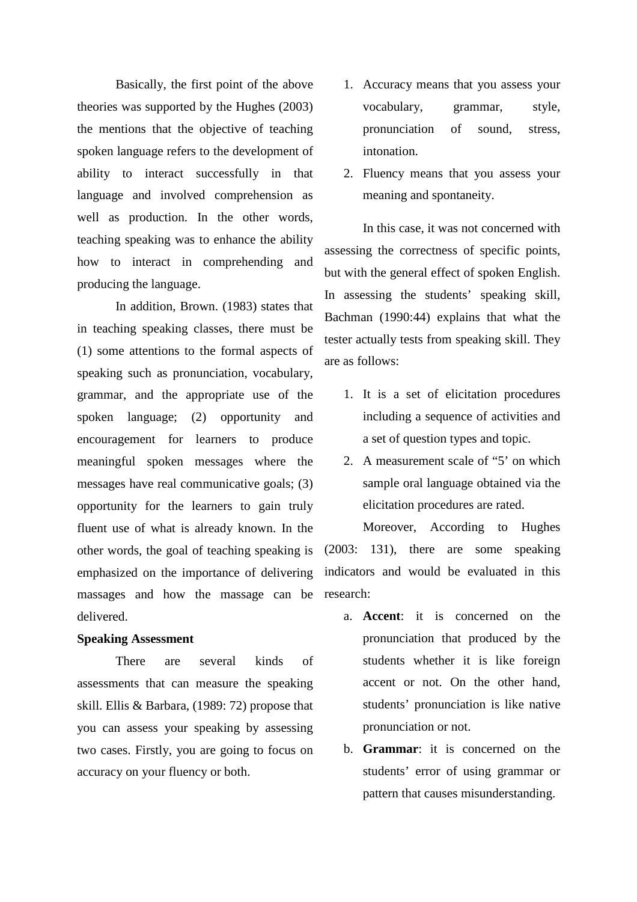Basically, the first point of the above theories was supported by the Hughes (2003) the mentions that the objective of teaching spoken language refers to the development of ability to interact successfully in that language and involved comprehension as well as production. In the other words, teaching speaking was to enhance the ability how to interact in comprehending and producing the language.

In addition, Brown. (1983) states that in teaching speaking classes, there must be (1) some attentions to the formal aspects of speaking such as pronunciation, vocabulary, grammar, and the appropriate use of the spoken language; (2) opportunity and encouragement for learners to produce meaningful spoken messages where the messages have real communicative goals; (3) opportunity for the learners to gain truly fluent use of what is already known. In the other words, the goal of teaching speaking is emphasized on the importance of delivering massages and how the massage can be research: delivered.

#### **Speaking Assessment**

There are several kinds of assessments that can measure the speaking skill. Ellis & Barbara, (1989: 72) propose that you can assess your speaking by assessing two cases. Firstly, you are going to focus on accuracy on your fluency or both.

- 1. Accuracy means that you assess your vocabulary, grammar, style, pronunciation of sound, stress, intonation.
- 2. Fluency means that you assess your meaning and spontaneity.

In this case, it was not concerned with assessing the correctness of specific points, but with the general effect of spoken English. In assessing the students' speaking skill, Bachman (1990:44) explains that what the tester actually tests from speaking skill. They are as follows:

- 1. It is a set of elicitation procedures including a sequence of activities and a set of question types and topic.
- 2. A measurement scale of "5' on which sample oral language obtained via the elicitation procedures are rated.

Moreover, According to Hughes (2003: 131), there are some speaking indicators and would be evaluated in this

- a. **Accent**: it is concerned on the pronunciation that produced by the students whether it is like foreign accent or not. On the other hand, students' pronunciation is like native pronunciation or not.
- b. **Grammar**: it is concerned on the students' error of using grammar or pattern that causes misunderstanding.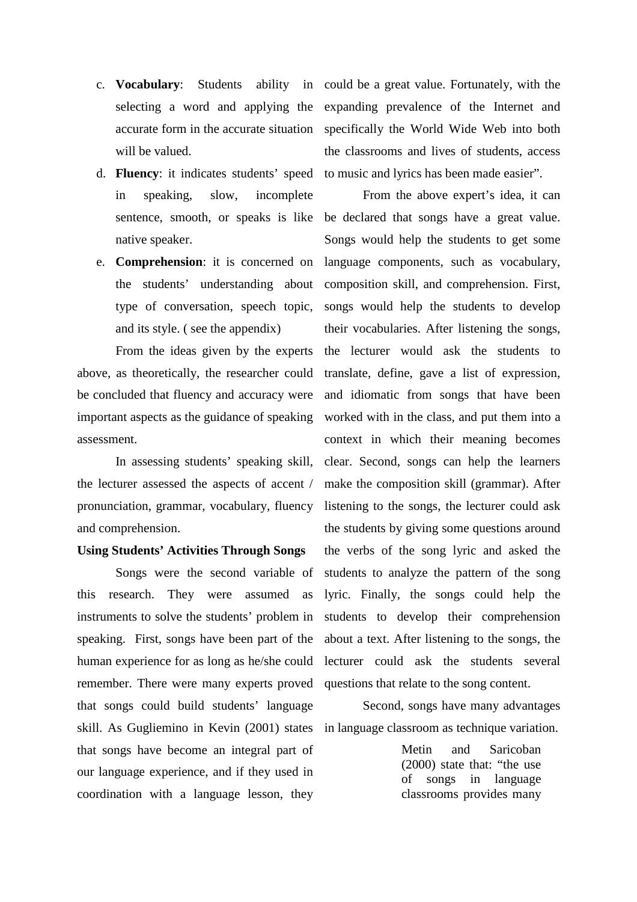- c. **Vocabulary**: Students ability in selecting a word and applying the accurate form in the accurate situation will be valued.
- d. **Fluency**: it indicates students' speed in speaking, slow, incomplete native speaker.
- e. **Comprehension**: it is concerned on the students' understanding about type of conversation, speech topic, and its style. ( see the appendix)

From the ideas given by the experts above, as theoretically, the researcher could be concluded that fluency and accuracy were important aspects as the guidance of speaking assessment.

In assessing students' speaking skill, the lecturer assessed the aspects of accent / pronunciation, grammar, vocabulary, fluency and comprehension.

### **Using Students' Activities Through Songs**

Songs were the second variable of this research. They were assumed as instruments to solve the students' problem in speaking. First, songs have been part of the human experience for as long as he/she could remember. There were many experts proved questions that relate to the song content. that songs could build students' language skill. As Gugliemino in Kevin (2001) states in language classroom as technique variation. that songs have become an integral part of our language experience, and if they used in coordination with a language lesson, they

could be a great value. Fortunately, with the expanding prevalence of the Internet and specifically the World Wide Web into both the classrooms and lives of students, access to music and lyrics has been made easier".

sentence, smooth, or speaks is like be declared that songs have a great value. From the above expert's idea, it can Songs would help the students to get some language components, such as vocabulary, composition skill, and comprehension. First, songs would help the students to develop their vocabularies. After listening the songs, the lecturer would ask the students to translate, define, gave a list of expression, and idiomatic from songs that have been worked with in the class, and put them into a context in which their meaning becomes clear. Second, songs can help the learners make the composition skill (grammar). After listening to the songs, the lecturer could ask the students by giving some questions around the verbs of the song lyric and asked the students to analyze the pattern of the song lyric. Finally, the songs could help the students to develop their comprehension about a text. After listening to the songs, the lecturer could ask the students several

Second, songs have many advantages

Metin and Saricoban (2000) state that: "the use of songs in language classrooms provides many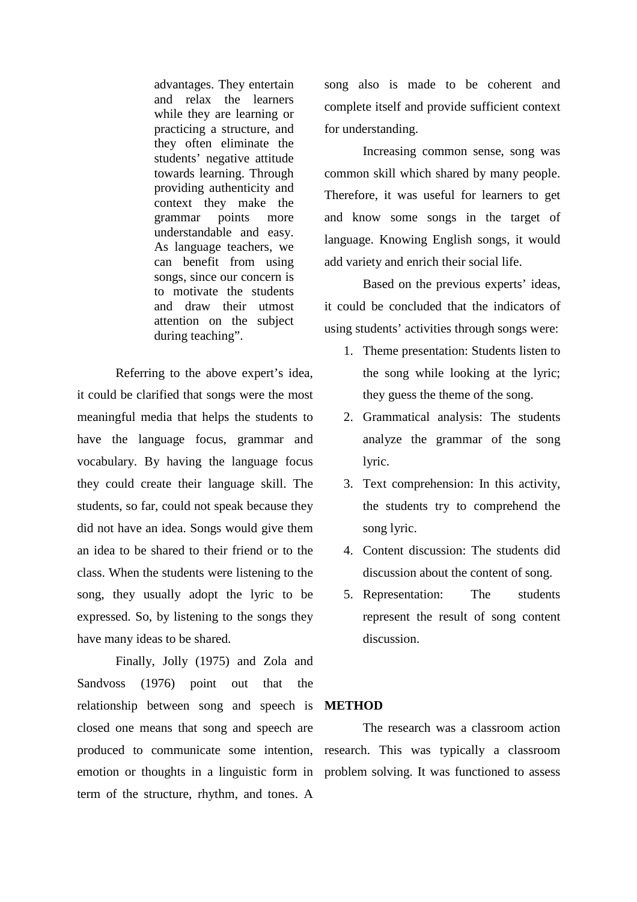advantages. They entertain and relax the learners while they are learning or practicing a structure, and they often eliminate the students' negative attitude towards learning. Through providing authenticity and context they make the grammar points more understandable and easy. As language teachers, we can benefit from using songs, since our concern is to motivate the students and draw their utmost attention on the subject during teaching".

Referring to the above expert's idea, it could be clarified that songs were the most meaningful media that helps the students to have the language focus, grammar and vocabulary. By having the language focus they could create their language skill. The students, so far, could not speak because they did not have an idea. Songs would give them an idea to be shared to their friend or to the class. When the students were listening to the song, they usually adopt the lyric to be expressed. So, by listening to the songs they have many ideas to be shared.

Finally, Jolly (1975) and Zola and Sandvoss (1976) point out that the relationship between song and speech is closed one means that song and speech are produced to communicate some intention, research. This was typically a classroom emotion or thoughts in a linguistic form in problem solving. It was functioned to assessterm of the structure, rhythm, and tones. A

song also is made to be coherent and complete itself and provide sufficient context for understanding.

Increasing common sense, song was common skill which shared by many people. Therefore, it was useful for learners to get and know some songs in the target of language. Knowing English songs, it would add variety and enrich their social life.

Based on the previous experts' ideas, it could be concluded that the indicators of using students' activities through songs were:

- 1. Theme presentation: Students listen to the song while looking at the lyric; they guess the theme of the song.
- 2. Grammatical analysis: The students analyze the grammar of the song lyric.
- 3. Text comprehension: In this activity, the students try to comprehend the song lyric.
- 4. Content discussion: The students did discussion about the content of song.
- 5. Representation: The students represent the result of song content discussion.

### **METHOD**

The research was a classroom action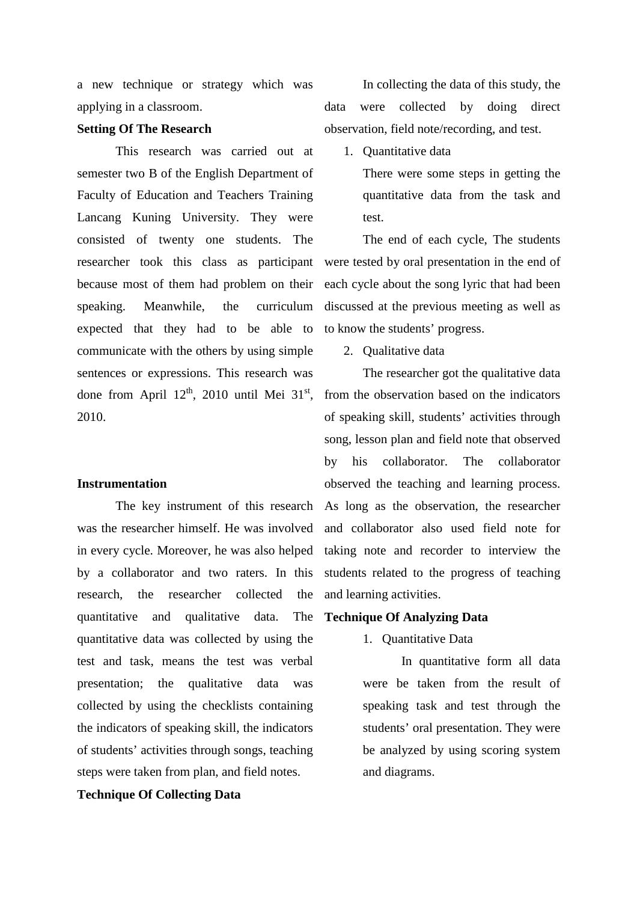a new technique or strategy which was applying in a classroom.

## **Setting Of The Research**

This research was carried out at semester two B of the English Department of Faculty of Education and Teachers Training Lancang Kuning University. They were consisted of twenty one students. The researcher took this class as participant because most of them had problem on their speaking. Meanwhile, the curriculum expected that they had to be able to communicate with the others by using simple sentences or expressions. This research was done from April  $12^{th}$ , 2010 until Mei  $31^{st}$ , 2010.

#### **Instrumentation**

The key instrument of this research was the researcher himself. He was involved and collaborator also used field note for in every cycle. Moreover, he was also helped by a collaborator and two raters. In this research, the researcher collected the quantitative and qualitative data. The quantitative data was collected by using the test and task, means the test was verbal presentation; the qualitative data was collected by using the checklists containing the indicators of speaking skill, the indicators of students' activities through songs, teaching steps were taken from plan, and field notes.

# **Technique Of Collecting Data**

In collecting the data of this study, the data were collected by doing direct observation, field note/recording, and test.

1. Quantitative data

There were some steps in getting the quantitative data from the task and test.

The end of each cycle, The students were tested by oral presentation in the end of each cycle about the song lyric that had been discussed at the previous meeting as well as to know the students' progress.

2. Qualitative data

The researcher got the qualitative data from the observation based on the indicators of speaking skill, students' activities through song, lesson plan and field note that observed by his collaborator. The collaborator observed the teaching and learning process. As long as the observation, the researcher taking note and recorder to interview the students related to the progress of teaching and learning activities.

# **Technique Of Analyzing Data**

1. Quantitative Data

In quantitative form all data were be taken from the result of speaking task and test through the students' oral presentation. They were be analyzed by using scoring system and diagrams.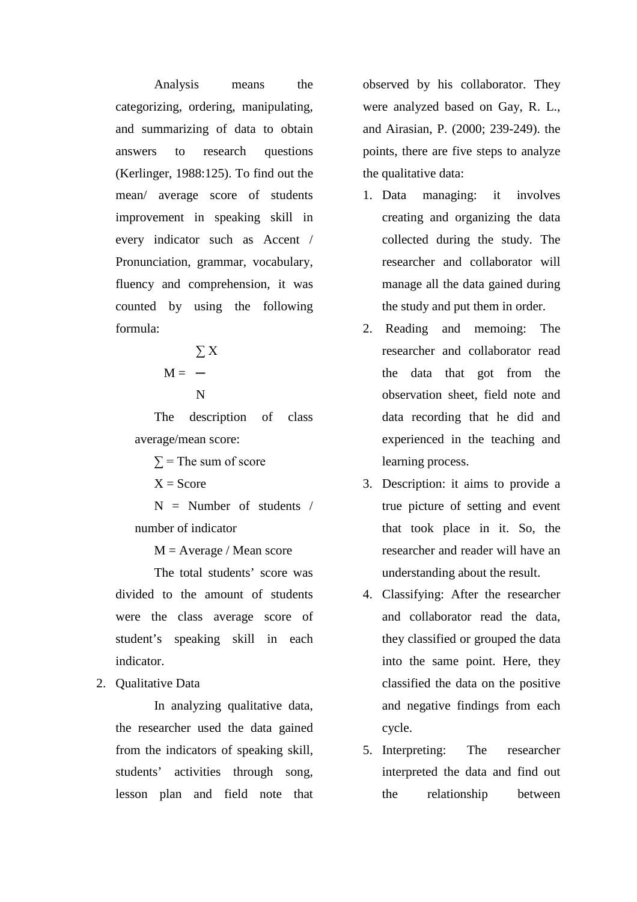Analysis means the categorizing, ordering, manipulating, and summarizing of data to obtain answers to research questions (Kerlinger, 1988:125). To find out the mean/ average score of students improvement in speaking skill in every indicator such as Accent / Pronunciation, grammar, vocabulary, fluency and comprehension, it was counted by using the following formula:

$$
\Sigma X
$$

$$
M = -
$$

N

The description of class average/mean score:

 $\Sigma$  = The sum of score

 $X = Score$ 

 $N =$  Number of students / number of indicator

 $M = Average / Mean score$ 

The total students' score was divided to the amount of students were the class average score of student's speaking skill in each indicator.

2. Qualitative Data

In analyzing qualitative data, the researcher used the data gained from the indicators of speaking skill, students' activities through song, lesson plan and field note that observed by his collaborator. They were analyzed based on Gay, R. L., and Airasian, P. (2000; 239-249). the points, there are five steps to analyze the qualitative data:

- 1. Data managing: it involves creating and organizing the data collected during the study. The researcher and collaborator will manage all the data gained during the study and put them in order.
- 2. Reading and memoing: The researcher and collaborator read the data that got from the observation sheet, field note and data recording that he did and experienced in the teaching and learning process.
- 3. Description: it aims to provide a true picture of setting and event that took place in it. So, the researcher and reader will have an understanding about the result.
- 4. Classifying: After the researcher and collaborator read the data, they classified or grouped the data into the same point. Here, they classified the data on the positive and negative findings from each cycle.
- 5. Interpreting: The researcher interpreted the data and find out the relationship between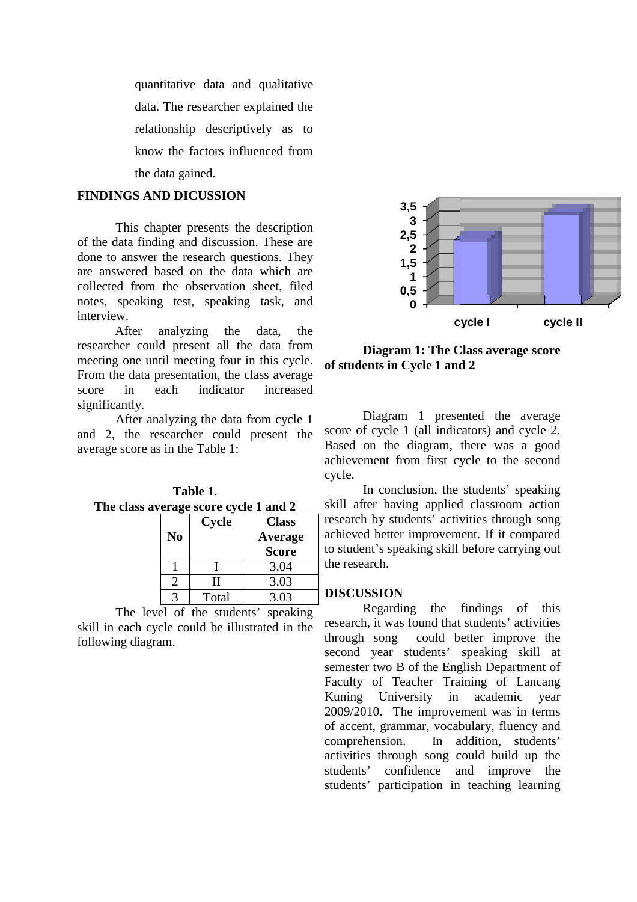quantitative data and qualitative data. The researcher explained the relationship descriptively as to know the factors influenced from the data gained.

# **FINDINGS AND DICUSSION**

This chapter presents the description of the data finding and discussion. These are done to answer the research questions. They are answered based on the data which are collected from the observation sheet, filed notes, speaking test, speaking task, and interview.

After analyzing the data, the researcher could present all the data from meeting one until meeting four in this cycle. From the data presentation, the class average score in each indicator increased significantly.

After analyzing the data from cycle 1 and 2, the researcher could present the <sup>s</sup> average score as in the Table 1 ch indicato<br>lyzing the data<br>earcher could<br>in the Table 1:

**Table 1.**

| The class average score cycle 1 and 2 |                |              |              |
|---------------------------------------|----------------|--------------|--------------|
|                                       |                | <b>Cycle</b> | <b>Class</b> |
|                                       | N <sub>0</sub> |              | Average      |
|                                       |                |              | Score        |
|                                       |                |              | 3.04         |
|                                       | っ              |              | 3.03         |
|                                       |                | Total        | 3.03         |

The level of the students' speaking skill in each cycle could be illustrated in the research, it was<br>following diagram following diagram.



**Diagram 1: The Class average score : Class average score of students in Cycle 1 and 2** 

Diagram 1 presented the average score of cycle 1 (all indicators) and cycle 2. Based on the diagram, there was a good achievement from first cycle to the second cycle.

In conclusion, the students' speaking In conclusion, the students' speaking<br>skill after having applied classroom action research by students' activities through song research by students' activities through song<br>achieved better improvement. If it compared to student's speaking skill before carrying out the research.

# **DISCUSSION**

Regarding the findings research, it was found that students' activities through song could better improve the second year students' speaking skill at semester two B of the English Department of Faculty of Teacher Training of Lancang<br>Kuning University in academic year Kuning University in academic year 2009/2010. The improvement was in terms in terms of accent, grammar, vocabulary, fluency and comprehension. In addition, students' comprehension. In addition, students'<br>activities through song could build up the students' confidence and improve the students' participation in teaching learning of this **cycle I** cycle I<br> **cycle II**<br> **agram 1:** The Class average score<br>
sin Cycle 1 and 2<br>
agram 1 presented the average<br>
ycle 1 (all indicators) and cycle 2.<br>
the diagram, there was a good<br>
conclusion, the students' speaking<br>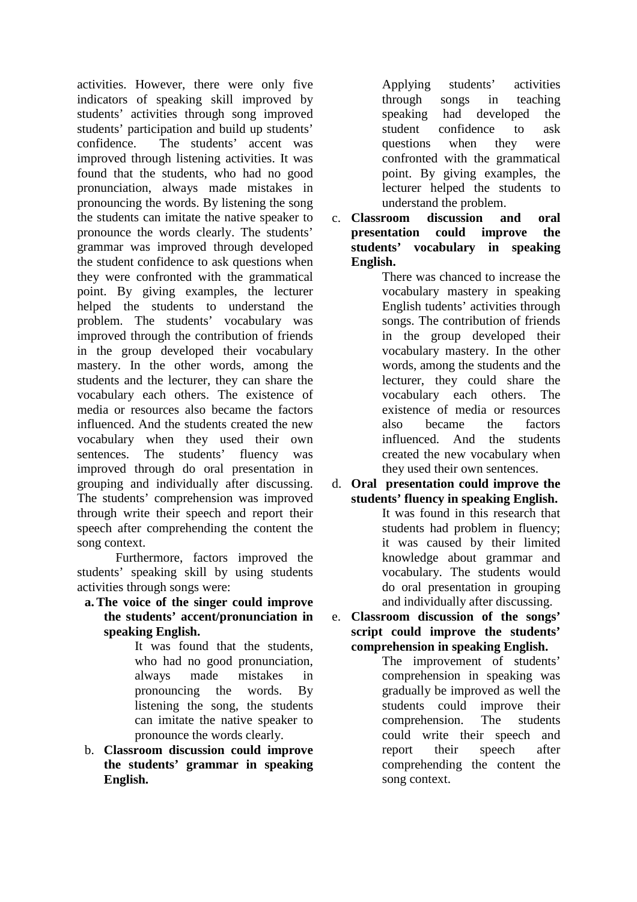activities. However, there were only five indicators of speaking skill improved by students' activities through song improved students' participation and build up students' confidence. The students' accent was improved through listening activities. It was found that the students, who had no good pronunciation, always made mistakes in pronouncing the words. By listening the song the students can imitate the native speaker to pronounce the words clearly. The students' grammar was improved through developed the student confidence to ask questions when they were confronted with the grammatical point. By giving examples, the lecturer helped the students to understand the problem. The students' vocabulary was improved through the contribution of friends in the group developed their vocabulary mastery. In the other words, among the students and the lecturer, they can share the vocabulary each others. The existence of media or resources also became the factors influenced. And the students created the new vocabulary when they used their own sentences. The students' fluency was improved through do oral presentation in grouping and individually after discussing. The students' comprehension was improved through write their speech and report their speech after comprehending the content the song context.

Furthermore, factors improved the students' speaking skill by using students activities through songs were:

**a.The voice of the singer could improve the students' accent/pronunciation in speaking English.**

It was found that the students, who had no good pronunciation, always made mistakes in pronouncing the words. By listening the song, the students can imitate the native speaker to pronounce the words clearly.

b. **Classroom discussion could improve the students' grammar in speaking English.**

Applying students' activities through songs in teaching speaking had developed the student confidence to ask questions when they were confronted with the grammatical point. By giving examples, the lecturer helped the students to understand the problem.

c. **Classroom discussion and oral presentation could improve the students' vocabulary in speaking English.**

There was chanced to increase the vocabulary mastery in speaking English tudents' activities through songs. The contribution of friends in the group developed their vocabulary mastery. In the other words, among the students and the lecturer, they could share the vocabulary each others. The existence of media or resources also became the factors influenced. And the students created the new vocabulary when they used their own sentences.

d. **Oral presentation could improve the students' fluency in speaking English.** It was found in this research that students had problem in fluency; it was caused by their limited knowledge about grammar and

> vocabulary. The students would do oral presentation in grouping and individually after discussing.

e. **Classroom discussion of the songs' script could improve the students' comprehension in speaking English.**

The improvement of students' comprehension in speaking was gradually be improved as well the students could improve their comprehension. The students could write their speech and report their speech after comprehending the content the song context.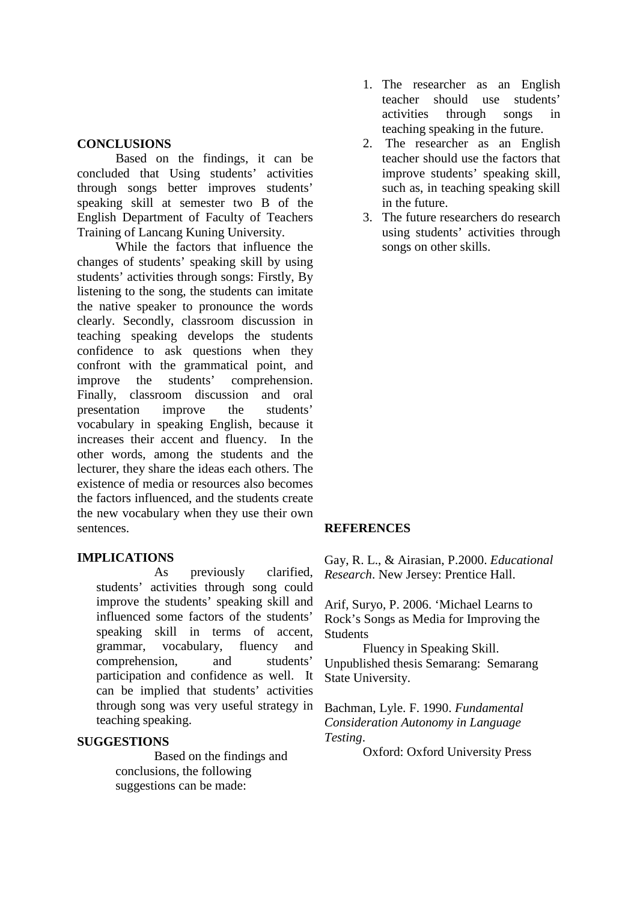## **CONCLUSIONS**

Based on the findings, it can be concluded that Using students' activities through songs better improves students' speaking skill at semester two B of the English Department of Faculty of Teachers Training of Lancang Kuning University.

While the factors that influence the changes of students' speaking skill by using students' activities through songs: Firstly, By listening to the song, the students can imitate the native speaker to pronounce the words clearly. Secondly, classroom discussion in teaching speaking develops the students confidence to ask questions when they confront with the grammatical point, and improve the students' comprehension. Finally, classroom discussion and oral presentation improve the students' vocabulary in speaking English, because it increases their accent and fluency. In the other words, among the students and the lecturer, they share the ideas each others. The existence of media or resources also becomes the factors influenced, and the students create the new vocabulary when they use their own sentences.

# **IMPLICATIONS**

As previously clarified, students' activities through song could improve the students' speaking skill and influenced some factors of the students' speaking skill in terms of accent. grammar, vocabulary, fluency and comprehension, and students' participation and confidence as well. It can be implied that students' activities through song was very useful strategy in teaching speaking.

#### **SUGGESTIONS**

Based on the findings and conclusions, the following suggestions can be made:

- 1. The researcher as an English teacher should use students' activities through songs in teaching speaking in the future.
- 2. The researcher as an English teacher should use the factors that improve students' speaking skill, such as, in teaching speaking skill in the future.
- 3. The future researchers do research using students' activities through songs on other skills.

#### **REFERENCES**

Gay, R. L., & Airasian, P.2000. *Educational Research*. New Jersey: Prentice Hall.

Arif, Suryo, P. 2006. 'Michael Learns to Rock's Songs as Media for Improving the **Students** 

Fluency in Speaking Skill. Unpublished thesis Semarang: Semarang State University.

Bachman, Lyle. F. 1990. *Fundamental Consideration Autonomy in Language Testing*.

Oxford: Oxford University Press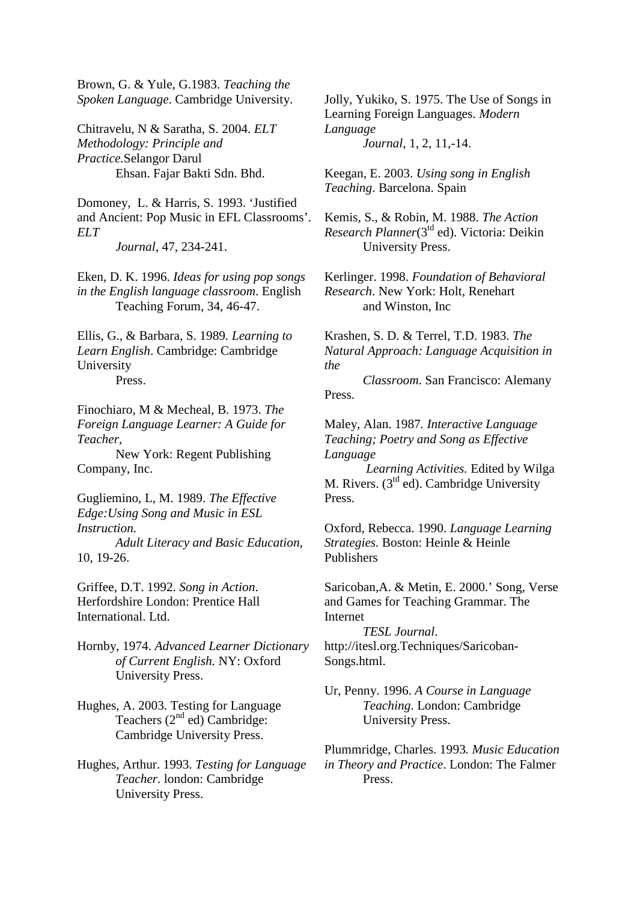Brown, G. & Yule, G.1983. *Teaching the Spoken Language*. Cambridge University.

Chitravelu, N & Saratha, S. 2004. *ELT Methodology: Principle and Practice.*Selangor Darul Ehsan. Fajar Bakti Sdn. Bhd.

Domoney, L. & Harris, S. 1993. 'Justified and Ancient: Pop Music in EFL Classrooms'. *ELT*

*Journal*, 47, 234-241.

Eken, D. K. 1996. *Ideas for using pop songs in the English language classroom*. English Teaching Forum, 34, 46-47.

Ellis, G., & Barbara, S. 1989*. Learning to Learn English*. Cambridge: Cambridge University

Press.

Finochiaro, M & Mecheal, B. 1973. *The Foreign Language Learner: A Guide for Teacher,*

New York: Regent Publishing Company, Inc.

Gugliemino, L, M. 1989. *The Effective Edge:Using Song and Music in ESL Instruction.*

*Adult Literacy and Basic Education*, 10, 19-26.

Griffee, D.T. 1992. *Song in Action*. Herfordshire London: Prentice Hall International. Ltd.

Hornby, 1974. *Advanced Learner Dictionary of Current English.* NY: Oxford University Press.

Hughes, A. 2003. Testing for Language Teachers (2<sup>nd</sup> ed) Cambridge: Cambridge University Press.

Hughes, Arthur. 1993. *Testing for Language Teacher.* london: Cambridge University Press.

Jolly, Yukiko, S. 1975. The Use of Songs in Learning Foreign Languages. *Modern Language Journal*, 1, 2, 11,-14.

Keegan, E. 2003. *Using song in English Teaching*. Barcelona. Spain

Kemis, S., & Robin, M. 1988. *The Action* Research Planner(3<sup>td</sup> ed). Victoria: Deikin University Press.

Kerlinger. 1998. *Foundation of Behavioral Research*. New York: Holt, Renehart and Winston, Inc

Krashen, S. D. & Terrel, T.D. 1983. *The Natural Approach: Language Acquisition in the*

*Classroom*. San Francisco: Alemany Press.

Maley, Alan. 1987*. Interactive Language Teaching; Poetry and Song as Effective Language*

*Learning Activities.* Edited by Wilga M. Rivers. (3<sup>td</sup> ed). Cambridge University Press.

Oxford, Rebecca. 1990. *Language Learning Strategies.* Boston: Heinle & Heinle Publishers

Saricoban,A. & Metin, E. 2000.' Song, Verse and Games for Teaching Grammar. The Internet

*TESL Journal*. http://itesl.org.Techniques/Saricoban-Songs.html.

Ur, Penny. 1996. *A Course in Language Teaching*. London: Cambridge University Press.

Plummridge, Charles. 1993*. Music Education in Theory and Practice*. London: The Falmer Press.